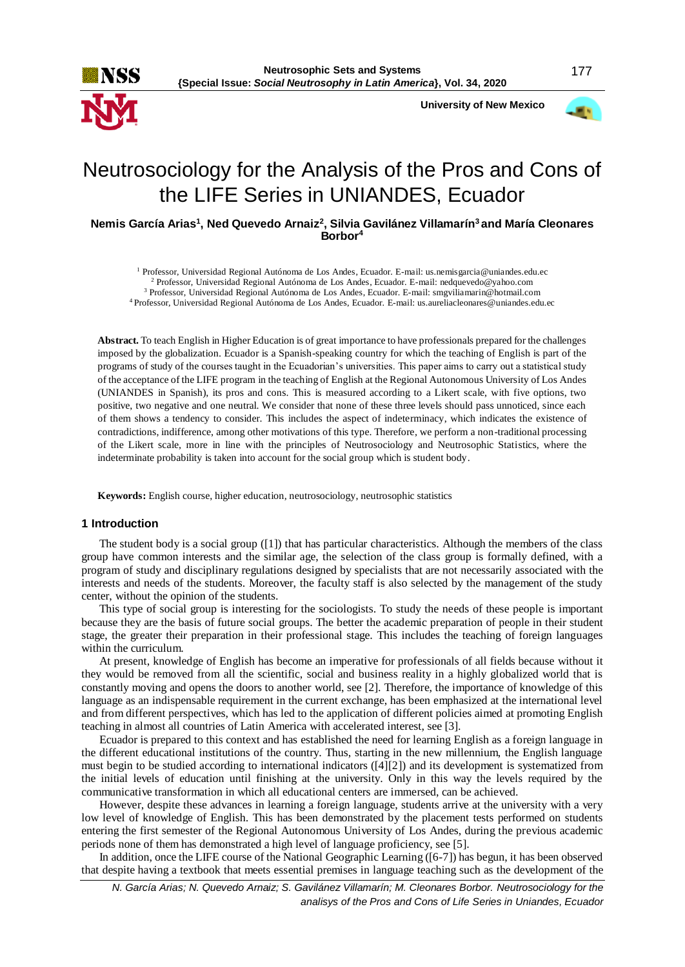

 **University of New Mexico**



# Neutrosociology for the Analysis of the Pros and Cons of the LIFE Series in UNIANDES, Ecuador

**Nemis García Arias<sup>1</sup> , Ned Quevedo Arnaiz<sup>2</sup> , Silvia Gavilánez Villamarín<sup>3</sup>and María Cleonares Borbor<sup>4</sup>**

 Professor, Universidad Regional Autónoma de Los Andes, Ecuador. E-mail: us.nemisgarcia@uniandes.edu.ec Professor, Universidad Regional Autónoma de Los Andes, Ecuador. E-mail: nedquevedo@yahoo.com Professor, Universidad Regional Autónoma de Los Andes, Ecuador. E-mail: smgviliamarin@hotmail.com Professor, Universidad Regional Autónoma de Los Andes, Ecuador. E-mail: us.aureliacleonares@uniandes.edu.ec

**Abstract.** To teach English in Higher Education is of great importance to have professionals prepared for the challenges imposed by the globalization. Ecuador is a Spanish-speaking country for which the teaching of English is part of the programs of study of the courses taught in the Ecuadorian's universities. This paper aims to carry out a statistical study of the acceptance of the LIFE program in the teaching of English at the Regional Autonomous University of Los Andes (UNIANDES in Spanish), its pros and cons. This is measured according to a Likert scale, with five options, two positive, two negative and one neutral. We consider that none of these three levels should pass unnoticed, since each of them shows a tendency to consider. This includes the aspect of indeterminacy, which indicates the existence of contradictions, indifference, among other motivations of this type. Therefore, we perform a non-traditional processing of the Likert scale, more in line with the principles of Neutrosociology and Neutrosophic Statistics, where the indeterminate probability is taken into account for the social group which is student body.

**Keywords:** English course, higher education, neutrosociology, neutrosophic statistics

#### **1 Introduction**

The student body is a social group ([1]) that has particular characteristics. Although the members of the class group have common interests and the similar age, the selection of the class group is formally defined, with a program of study and disciplinary regulations designed by specialists that are not necessarily associated with the interests and needs of the students. Moreover, the faculty staff is also selected by the management of the study center, without the opinion of the students.

This type of social group is interesting for the sociologists. To study the needs of these people is important because they are the basis of future social groups. The better the academic preparation of people in their student stage, the greater their preparation in their professional stage. This includes the teaching of foreign languages within the curriculum.

At present, knowledge of English has become an imperative for professionals of all fields because without it they would be removed from all the scientific, social and business reality in a highly globalized world that is constantly moving and opens the doors to another world, see [2]. Therefore, the importance of knowledge of this language as an indispensable requirement in the current exchange, has been emphasized at the international level and from different perspectives, which has led to the application of different policies aimed at promoting English teaching in almost all countries of Latin America with accelerated interest, see [3].

Ecuador is prepared to this context and has established the need for learning English as a foreign language in the different educational institutions of the country. Thus, starting in the new millennium, the English language must begin to be studied according to international indicators ([4][2]) and its development is systematized from the initial levels of education until finishing at the university. Only in this way the levels required by the communicative transformation in which all educational centers are immersed, can be achieved.

However, despite these advances in learning a foreign language, students arrive at the university with a very low level of knowledge of English. This has been demonstrated by the placement tests performed on students entering the first semester of the Regional Autonomous University of Los Andes, during the previous academic periods none of them has demonstrated a high level of language proficiency, see [5].

In addition, once the LIFE course of the National Geographic Learning ([6-7]) has begun, it has been observed that despite having a textbook that meets essential premises in language teaching such as the development of the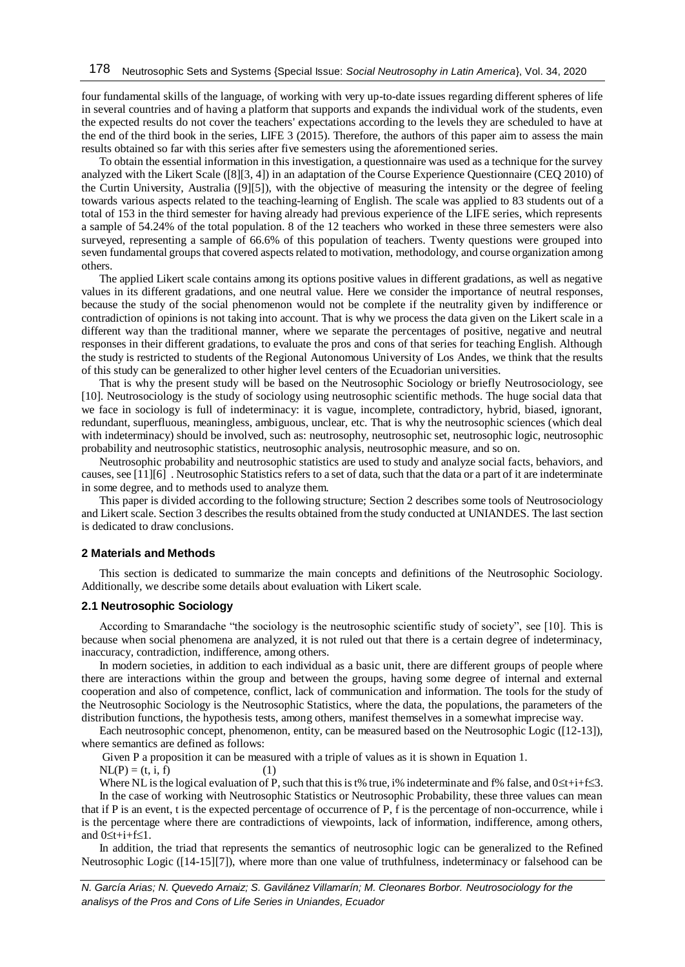four fundamental skills of the language, of working with very up-to-date issues regarding different spheres of life in several countries and of having a platform that supports and expands the individual work of the students, even the expected results do not cover the teachers' expectations according to the levels they are scheduled to have at the end of the third book in the series, LIFE 3 (2015). Therefore, the authors of this paper aim to assess the main results obtained so far with this series after five semesters using the aforementioned series.

To obtain the essential information in this investigation, a questionnaire was used as a technique for the survey analyzed with the Likert Scale ([8][3, 4]) in an adaptation of the Course Experience Questionnaire (CEQ 2010) of the Curtin University, Australia ([9][5]), with the objective of measuring the intensity or the degree of feeling towards various aspects related to the teaching-learning of English. The scale was applied to 83 students out of a total of 153 in the third semester for having already had previous experience of the LIFE series, which represents a sample of 54.24% of the total population. 8 of the 12 teachers who worked in these three semesters were also surveyed, representing a sample of 66.6% of this population of teachers. Twenty questions were grouped into seven fundamental groups that covered aspects related to motivation, methodology, and course organization among others.

The applied Likert scale contains among its options positive values in different gradations, as well as negative values in its different gradations, and one neutral value. Here we consider the importance of neutral responses, because the study of the social phenomenon would not be complete if the neutrality given by indifference or contradiction of opinions is not taking into account. That is why we process the data given on the Likert scale in a different way than the traditional manner, where we separate the percentages of positive, negative and neutral responses in their different gradations, to evaluate the pros and cons of that series for teaching English. Although the study is restricted to students of the Regional Autonomous University of Los Andes, we think that the results of this study can be generalized to other higher level centers of the Ecuadorian universities.

That is why the present study will be based on the Neutrosophic Sociology or briefly Neutrosociology, see [10]. Neutrosociology is the study of sociology using neutrosophic scientific methods. The huge social data that we face in sociology is full of indeterminacy: it is vague, incomplete, contradictory, hybrid, biased, ignorant, redundant, superfluous, meaningless, ambiguous, unclear, etc. That is why the neutrosophic sciences (which deal with indeterminacy) should be involved, such as: neutrosophy, neutrosophic set, neutrosophic logic, neutrosophic probability and neutrosophic statistics, neutrosophic analysis, neutrosophic measure, and so on.

Neutrosophic probability and neutrosophic statistics are used to study and analyze social facts, behaviors, and causes, see [11][6] . Neutrosophic Statistics refers to a set of data, such that the data or a part of it are indeterminate in some degree, and to methods used to analyze them.

This paper is divided according to the following structure; Section 2 describes some tools of Neutrosociology and Likert scale. Section 3 describes the results obtained from the study conducted at UNIANDES. The last section is dedicated to draw conclusions.

## **2 Materials and Methods**

This section is dedicated to summarize the main concepts and definitions of the Neutrosophic Sociology. Additionally, we describe some details about evaluation with Likert scale.

#### **2.1 Neutrosophic Sociology**

According to Smarandache "the sociology is the neutrosophic scientific study of society", see [10]. This is because when social phenomena are analyzed, it is not ruled out that there is a certain degree of indeterminacy, inaccuracy, contradiction, indifference, among others.

In modern societies, in addition to each individual as a basic unit, there are different groups of people where there are interactions within the group and between the groups, having some degree of internal and external cooperation and also of competence, conflict, lack of communication and information. The tools for the study of the Neutrosophic Sociology is the Neutrosophic Statistics, where the data, the populations, the parameters of the distribution functions, the hypothesis tests, among others, manifest themselves in a somewhat imprecise way.

Each neutrosophic concept, phenomenon, entity, can be measured based on the Neutrosophic Logic ([12-13]), where semantics are defined as follows:

Given P a proposition it can be measured with a triple of values as it is shown in Equation 1.

 $NL(P) = (t, i, f)$  (1)

Where NL is the logical evaluation of P, such that this is t% true, i% indeterminate and f% false, and  $0 \le t+i+f \le 3$ . In the case of working with Neutrosophic Statistics or Neutrosophic Probability, these three values can mean that if P is an event, t is the expected percentage of occurrence of P, f is the percentage of non-occurrence, while i is the percentage where there are contradictions of viewpoints, lack of information, indifference, among others, and  $0 \leq t + i + f \leq 1$ .

In addition, the triad that represents the semantics of neutrosophic logic can be generalized to the Refined Neutrosophic Logic ([14-15][7]), where more than one value of truthfulness, indeterminacy or falsehood can be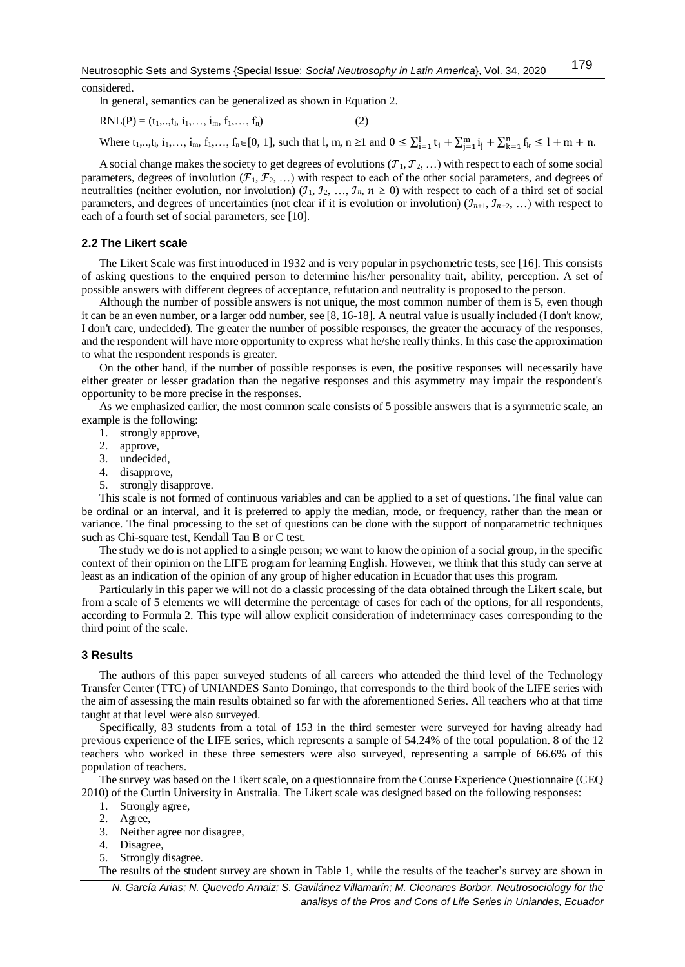considered.

In general, semantics can be generalized as shown in Equation 2.

$$
RNL(P) = (t_1, ..., t_l, i_1, ..., i_m, f_1, ..., f_n)
$$
 (2)

Where  $t_1, ..., t_l, i_1, ..., i_m, f_1, ..., f_n \in [0, 1]$ , such that l, m, n  $\geq 1$  and  $0 \leq \sum_{i=1}^l t_i + \sum_{j=1}^m i_j + \sum_{k=1}^n f_k \leq 1 + m + n$ .

A social change makes the society to get degrees of evolutions  $(T_1, T_2, ...)$  with respect to each of some social parameters, degrees of involution  $(\mathcal{F}_1, \mathcal{F}_2, \ldots)$  with respect to each of the other social parameters, and degrees of neutralities (neither evolution, nor involution)  $(1, 1, 2, ..., 1, n, n \ge 0)$  with respect to each of a third set of social parameters, and degrees of uncertainties (not clear if it is evolution or involution)  $(\mathcal{I}_{n+1}, \mathcal{I}_{n+2}, ...)$  with respect to each of a fourth set of social parameters, see [10].

## **2.2 The Likert scale**

The Likert Scale was first introduced in 1932 and is very popular in psychometric tests, see [16]. This consists of asking questions to the enquired person to determine his/her personality trait, ability, perception. A set of possible answers with different degrees of acceptance, refutation and neutrality is proposed to the person.

Although the number of possible answers is not unique, the most common number of them is 5, even though it can be an even number, or a larger odd number, see [8, 16-18]. A neutral value is usually included (I don't know, I don't care, undecided). The greater the number of possible responses, the greater the accuracy of the responses, and the respondent will have more opportunity to express what he/she really thinks. In this case the approximation to what the respondent responds is greater.

On the other hand, if the number of possible responses is even, the positive responses will necessarily have either greater or lesser gradation than the negative responses and this asymmetry may impair the respondent's opportunity to be more precise in the responses.

As we emphasized earlier, the most common scale consists of 5 possible answers that is a symmetric scale, an example is the following:

- 1. strongly approve,
- 2. approve,
- 3. undecided,
- 4. disapprove,
- 5. strongly disapprove.

This scale is not formed of continuous variables and can be applied to a set of questions. The final value can be ordinal or an interval, and it is preferred to apply the median, mode, or frequency, rather than the mean or variance. The final processing to the set of questions can be done with the support of nonparametric techniques such as Chi-square test, Kendall Tau B or C test.

The study we do is not applied to a single person; we want to know the opinion of a social group, in the specific context of their opinion on the LIFE program for learning English. However, we think that this study can serve at least as an indication of the opinion of any group of higher education in Ecuador that uses this program.

Particularly in this paper we will not do a classic processing of the data obtained through the Likert scale, but from a scale of 5 elements we will determine the percentage of cases for each of the options, for all respondents, according to Formula 2. This type will allow explicit consideration of indeterminacy cases corresponding to the third point of the scale.

## **3 Results**

The authors of this paper surveyed students of all careers who attended the third level of the Technology Transfer Center (TTC) of UNIANDES Santo Domingo, that corresponds to the third book of the LIFE series with the aim of assessing the main results obtained so far with the aforementioned Series. All teachers who at that time taught at that level were also surveyed.

Specifically, 83 students from a total of 153 in the third semester were surveyed for having already had previous experience of the LIFE series, which represents a sample of 54.24% of the total population. 8 of the 12 teachers who worked in these three semesters were also surveyed, representing a sample of 66.6% of this population of teachers.

The survey was based on the Likert scale, on a questionnaire from the Course Experience Questionnaire (CEQ 2010) of the Curtin University in Australia. The Likert scale was designed based on the following responses:

- 1. Strongly agree,
- 2. Agree,
- 3. Neither agree nor disagree,
- 4. Disagree,
- 5. Strongly disagree.

The results of the student survey are shown in Table 1, while the results of the teacher's survey are shown in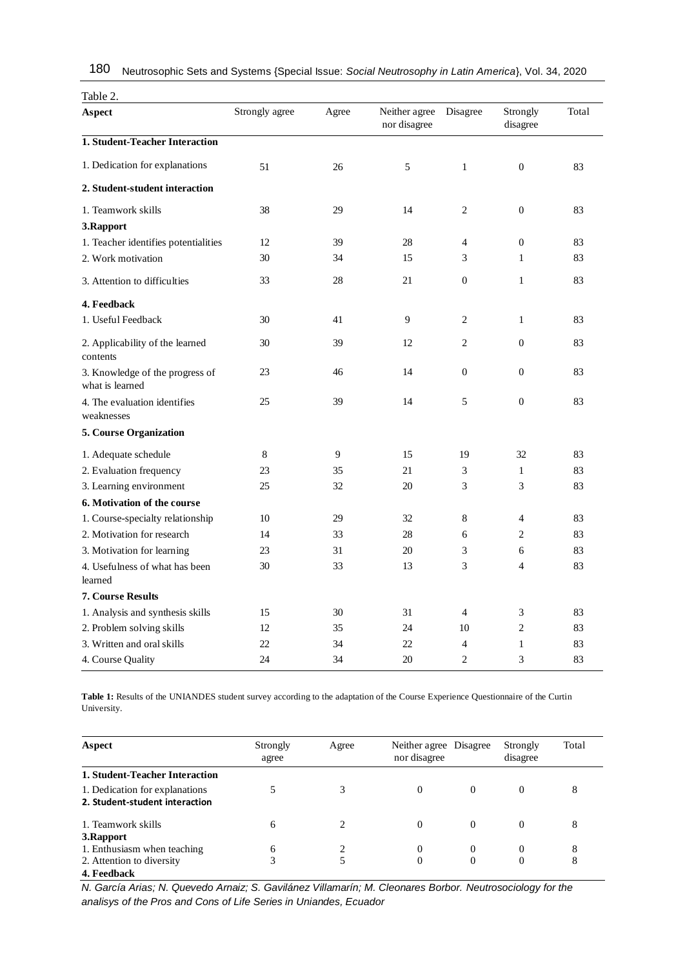| Table 2.                                           |                |       |                               |                  |                      |       |
|----------------------------------------------------|----------------|-------|-------------------------------|------------------|----------------------|-------|
| <b>Aspect</b>                                      | Strongly agree | Agree | Neither agree<br>nor disagree | Disagree         | Strongly<br>disagree | Total |
| 1. Student-Teacher Interaction                     |                |       |                               |                  |                      |       |
| 1. Dedication for explanations                     | 51             | 26    | 5                             | $\mathbf{1}$     | $\boldsymbol{0}$     | 83    |
| 2. Student-student interaction                     |                |       |                               |                  |                      |       |
| 1. Teamwork skills                                 | 38             | 29    | 14                            | 2                | $\boldsymbol{0}$     | 83    |
| 3.Rapport                                          |                |       |                               |                  |                      |       |
| 1. Teacher identifies potentialities               | 12             | 39    | 28                            | 4                | $\mathbf{0}$         | 83    |
| 2. Work motivation                                 | 30             | 34    | 15                            | 3                | $\mathbf{1}$         | 83    |
| 3. Attention to difficulties                       | 33             | 28    | 21                            | $\mathbf{0}$     | $\mathbf{1}$         | 83    |
| 4. Feedback                                        |                |       |                               |                  |                      |       |
| 1. Useful Feedback                                 | 30             | 41    | 9                             | $\overline{c}$   | $\mathbf{1}$         | 83    |
| 2. Applicability of the learned<br>contents        | 30             | 39    | 12                            | $\overline{c}$   | $\mathbf{0}$         | 83    |
| 3. Knowledge of the progress of<br>what is learned | 23             | 46    | 14                            | $\boldsymbol{0}$ | $\boldsymbol{0}$     | 83    |
| 4. The evaluation identifies<br>weaknesses         | 25             | 39    | 14                            | 5                | $\mathbf{0}$         | 83    |
| 5. Course Organization                             |                |       |                               |                  |                      |       |
| 1. Adequate schedule                               | 8              | 9     | 15                            | 19               | 32                   | 83    |
| 2. Evaluation frequency                            | 23             | 35    | 21                            | 3                | 1                    | 83    |
| 3. Learning environment                            | 25             | 32    | 20                            | 3                | 3                    | 83    |
| 6. Motivation of the course                        |                |       |                               |                  |                      |       |
| 1. Course-specialty relationship                   | 10             | 29    | 32                            | 8                | $\overline{4}$       | 83    |
| 2. Motivation for research                         | 14             | 33    | 28                            | 6                | 2                    | 83    |
| 3. Motivation for learning                         | 23             | 31    | 20                            | 3                | 6                    | 83    |
| 4. Usefulness of what has been<br>learned          | 30             | 33    | 13                            | 3                | $\overline{4}$       | 83    |
| <b>7. Course Results</b>                           |                |       |                               |                  |                      |       |
| 1. Analysis and synthesis skills                   | 15             | 30    | 31                            | $\overline{4}$   | 3                    | 83    |
| 2. Problem solving skills                          | 12             | 35    | 24                            | 10               | $\overline{c}$       | 83    |
| 3. Written and oral skills                         | 22             | 34    | 22                            | $\overline{4}$   | 1                    | 83    |
| 4. Course Quality                                  | 24             | 34    | 20                            | $\overline{c}$   | 3                    | 83    |

Neutrosophic Sets and Systems {Special Issue: *Social Neutrosophy in Latin America*}, Vol. 34, 2020 180

**Table 1:** Results of the UNIANDES student survey according to the adaptation of the Course Experience Questionnaire of the Curtin University.

| Aspect                                                           | Strongly<br>agree | Agree | Neither agree Disagree<br>nor disagree |              | Strongly<br>disagree | Total |
|------------------------------------------------------------------|-------------------|-------|----------------------------------------|--------------|----------------------|-------|
| 1. Student-Teacher Interaction                                   |                   |       |                                        |              |                      |       |
| 1. Dedication for explanations<br>2. Student-student interaction |                   |       | 0                                      | $\mathbf{0}$ | $\theta$             | 8     |
| 1. Teamwork skills                                               | 6                 |       | 0                                      | $\mathbf{0}$ | 0                    | 8     |
| 3. Rapport                                                       |                   |       |                                        |              |                      |       |
| 1. Enthusiasm when teaching                                      | 6                 |       | 0                                      | $\mathbf{0}$ | 0                    | 8     |
| 2. Attention to diversity                                        | 3                 | 5     | 0                                      | $\mathbf{0}$ | 0                    | 8     |
| 4. Feedback                                                      |                   |       |                                        |              |                      |       |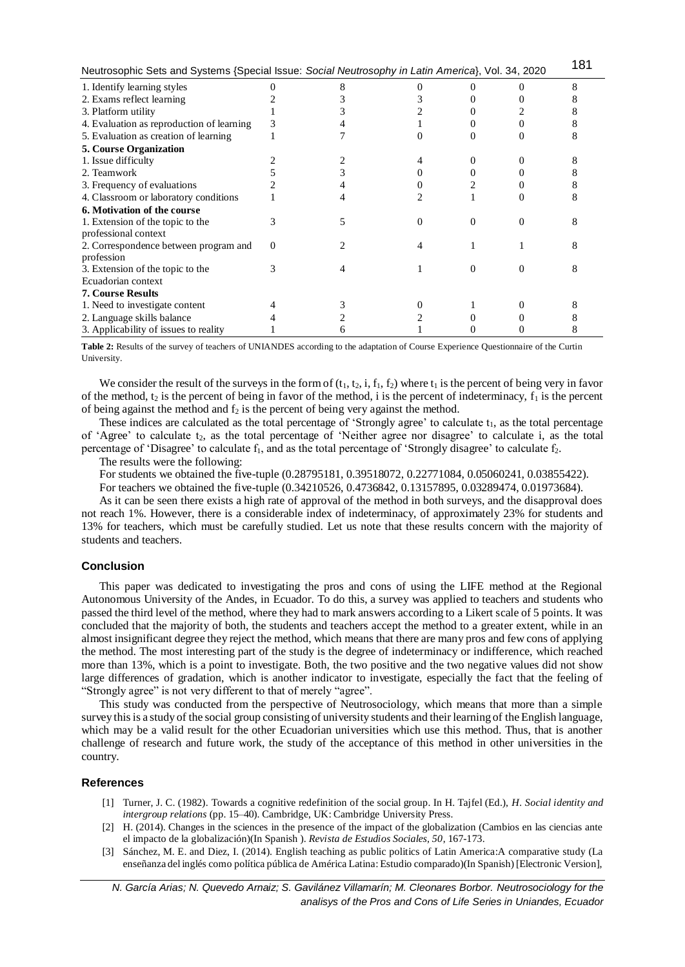| Neutrosophic Sets and Systems {Special Issue: Social Neutrosophy in Latin America}, Vol. 34, 2020 |   |  |  |   |  |  |
|---------------------------------------------------------------------------------------------------|---|--|--|---|--|--|
| 1. Identify learning styles                                                                       |   |  |  |   |  |  |
| 2. Exams reflect learning                                                                         |   |  |  |   |  |  |
| 3. Platform utility                                                                               |   |  |  |   |  |  |
| 4. Evaluation as reproduction of learning                                                         |   |  |  |   |  |  |
| 5. Evaluation as creation of learning                                                             |   |  |  |   |  |  |
| <b>5. Course Organization</b>                                                                     |   |  |  |   |  |  |
| 1. Issue difficulty                                                                               |   |  |  |   |  |  |
| 2. Teamwork                                                                                       |   |  |  |   |  |  |
| 3. Frequency of evaluations                                                                       |   |  |  |   |  |  |
| 4. Classroom or laboratory conditions                                                             |   |  |  |   |  |  |
| 6. Motivation of the course                                                                       |   |  |  |   |  |  |
| 1. Extension of the topic to the                                                                  |   |  |  | 0 |  |  |
| professional context                                                                              |   |  |  |   |  |  |
| 2. Correspondence between program and                                                             | 0 |  |  |   |  |  |
| profession                                                                                        |   |  |  |   |  |  |
| 3. Extension of the topic to the                                                                  |   |  |  | 0 |  |  |
| Ecuadorian context                                                                                |   |  |  |   |  |  |
| <b>7. Course Results</b>                                                                          |   |  |  |   |  |  |
| 1. Need to investigate content                                                                    |   |  |  |   |  |  |
| 2. Language skills balance                                                                        |   |  |  |   |  |  |
| 3. Applicability of issues to reality                                                             |   |  |  |   |  |  |

**Table 2:** Results of the survey of teachers of UNIANDES according to the adaptation of Course Experience Questionnaire of the Curtin University.

We consider the result of the surveys in the form of  $(t_1, t_2, i, f_1, f_2)$  where  $t_1$  is the percent of being very in favor of the method, t<sub>2</sub> is the percent of being in favor of the method, i is the percent of indeterminacy,  $f_1$  is the percent of being against the method and  $f_2$  is the percent of being very against the method.

These indices are calculated as the total percentage of 'Strongly agree' to calculate  $t_1$ , as the total percentage of 'Agree' to calculate t<sub>2</sub>, as the total percentage of 'Neither agree nor disagree' to calculate i, as the total percentage of 'Disagree' to calculate  $f_1$ , and as the total percentage of 'Strongly disagree' to calculate  $f_2$ .

The results were the following:

For students we obtained the five-tuple (0.28795181, 0.39518072, 0.22771084, 0.05060241, 0.03855422).

For teachers we obtained the five-tuple (0.34210526, 0.4736842, 0.13157895, 0.03289474, 0.01973684).

As it can be seen there exists a high rate of approval of the method in both surveys, and the disapproval does not reach 1%. However, there is a considerable index of indeterminacy, of approximately 23% for students and 13% for teachers, which must be carefully studied. Let us note that these results concern with the majority of students and teachers.

## **Conclusion**

This paper was dedicated to investigating the pros and cons of using the LIFE method at the Regional Autonomous University of the Andes, in Ecuador. To do this, a survey was applied to teachers and students who passed the third level of the method, where they had to mark answers according to a Likert scale of 5 points. It was concluded that the majority of both, the students and teachers accept the method to a greater extent, while in an almost insignificant degree they reject the method, which means that there are many pros and few cons of applying the method. The most interesting part of the study is the degree of indeterminacy or indifference, which reached more than 13%, which is a point to investigate. Both, the two positive and the two negative values did not show large differences of gradation, which is another indicator to investigate, especially the fact that the feeling of "Strongly agree" is not very different to that of merely "agree".

This study was conducted from the perspective of Neutrosociology, which means that more than a simple survey this is a study of the social group consisting of university students and their learning of the English language, which may be a valid result for the other Ecuadorian universities which use this method. Thus, that is another challenge of research and future work, the study of the acceptance of this method in other universities in the country.

#### **References**

- [1] Turner, J. C. (1982). Towards a cognitive redefinition of the social group. In H. Tajfel (Ed.), *H. Social identity and intergroup relations* (pp. 15–40). Cambridge, UK: Cambridge University Press.
- [2] H. (2014). Changes in the sciences in the presence of the impact of the globalization (Cambios en las ciencias ante el impacto de la globalización)(In Spanish ). *Revista de Estudios Sociales, 50*, 167-173.
- [3] Sánchez, M. E. and Diez, I. (2014). English teaching as public politics of Latin America:A comparative study (La enseñanza del inglés como política pública de América Latina: Estudio comparado)(In Spanish) [Electronic Version],